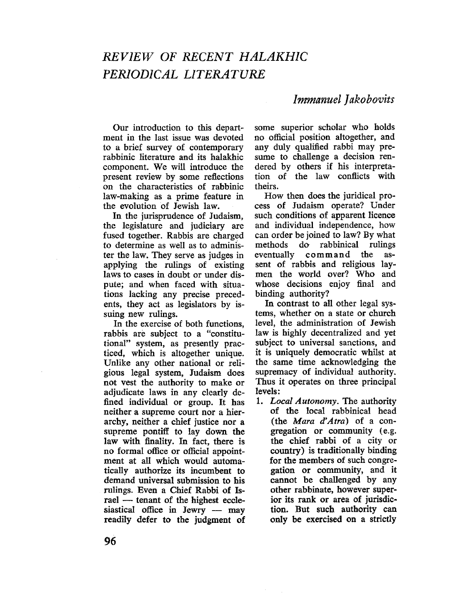# REVIEW OF RECENT HALAKHIC PERIODICAL LITERATURE

# Immanuel Jakobovits

Our introduction to this department in the last issue was devoted to a brief surey of contemporary rabbinic literature and its halakhic component. We will introduce the present review by some reflections on the characteristics of rabbinic law-making as a prime feature in the evolution of Jewish law.

In the jurisprudence of Judaism. the legislature and judiciary are fused together. Rabbis are charged to determine as well as to administer the law. They serve as judges in applying the rulings of existing laws to cases in doubt or under dispute; and when faced with situations lacking any precise precedents, they act as legislators by issuing new rulings.

In the exercise of both functions, rabbis are subject to a "constitutional" system, as presently practiced, which is altogether unique. Unlike any other national or religious legal system, Judaism does not vest the authority to make or adjudicate laws in any clearly defined individual or group. It has neither a supreme court nor a hierarchy, neither a chief justice nor a supreme pontiff to lay down the law with finality. In fact, there is no formal office or official appointment at all which would automatically authorize its incumbent to demand universal submission to his rulings. Even a Chief Rabbi of Israel - tenant of the highest ecclesiastical office in Jewry  $-$  may readily defer to the judgment of some superior scholar who holds no official position altogether, and any duly qualifed rabbi may presume to chalenge a decision rendered by others if his interpretation of the law conflicts with theirs.

How then does the juridical process of Judaism operate? Under such conditions of apparent licence and individual independence, how can order be joined to law? By what<br>methods do rabbinical rulings methods do rabbinical eventually command the assent of rabbis and religious laymen the world over? Who and whose decisions enjoy final and binding authority?

In contrast to all other legal systems, whether on a state or church level, the administration of Jewish law is highly decentralized and yet subject to universal sanctions, and it is uniquely democratic whilst at the same time acknowledging the supremacy of individual authority. Thus it operates on three principal levels:

1. Local Autonomy. The authority of the local rabbinical head (the Mara  $d'Atra$ ) of a congregation or community (e.g. the chief rabbi of a city or country) is traditionally binding for the members of such congregation or community, and it cannot be challenged by any other rabbinate, however superior its rank or area of jurisdiction. But such authority can only be exercised on a strictly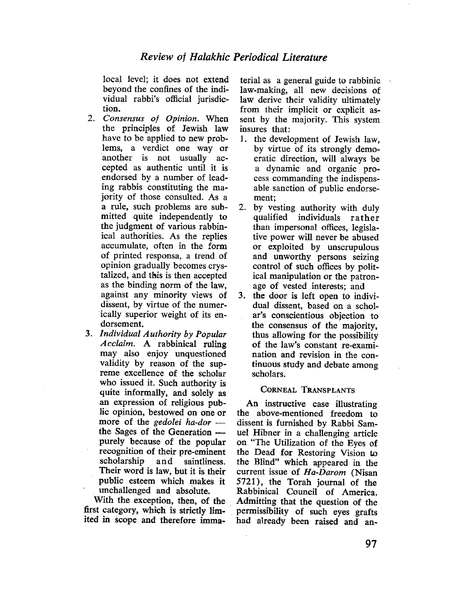local level; it does not extend beyond the confines of the individual rabbi's official jurisdiction.

- 2. Consensus of Opinion. When the principles of Jewish law have to be applied to new problems, a verdict one way or .another is not usually accepted as authentic until it is endorsed by a number of leading rabbis constituting the majority of those consulted. As a a rule, such problems are submitted quite independently to the judgment of various rabbinical authorities. As the replies accumulate, often in the form of printed responsa, a trend of opinion gradually becomes crystalized, and this is then accepted as the binding norm of the law, against any minority views of dissent, by virtue of the numerically superior weight of its endorsement.
- 3. Individual Authority by Popular Acclaim. A. rabbinical ruling may also enjoy unquestioned validity by reason of the supreme excellence of the scholar who issued it. Such authority is quite informally, and solely as an expression of religious public opinion, bestowed on one or more of the *gedolei* ha-dor  $$ the Sages of the Generation  $-\frac{1}{2}$ purely because of the popular recognition of their pre-eminent scholarship and saintliness. Their word is law, but it is their public esteem which makes it . unchallenged and absolute.

With the exception, then, of the first category, which is strictly limited in scope and therefore immaterial as a general guide to rabbinic law-making, all new decisions of law derive their validity ultimately from their implicit or explicit assent by the majority. This system insures that:

- 1. the development of Jewish law, by virtue of its strongly democratic direction, will always be a dynamic and organic process commanding the indispensable sanction of public endorsement;
- 2. by vesting authority with duly qualified individuals rather than impersonal offices, legislative power will never be abused or exploited by unscrupulous and unworthy persons seizing control of such offices by political manipulation or the patronage of vested interests; and
- 3. the door is left open to individual dissent, based on a scholar's conscientious objection to the consensus of the majority, thus allowing for the possibilty of the law's constant re~examination and revision in the continuous study and debate among scholars.

#### CORNEAL TRANSPLANTS

An instructive case ilustrating the above-mentioned freedom to dissent is furnished by Rabbi Samuel Hibner in a challenging article on "The Utilzation of the Eyes of the Dead for Restoring Vision to the Blind" which appeared in the current issue of Ha-Darom (Nisan 5721) , the Torah journal of the Rabbinical Council of America. . Admitting that the question of the . permissibilty of such eyes grafts had already been raised and an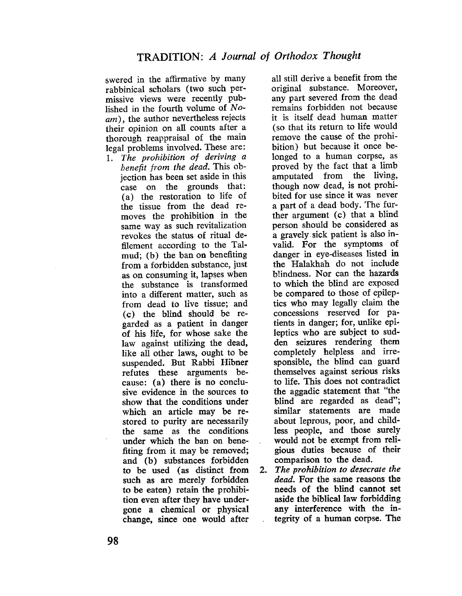swered in the affrmative by many rabbinical scholars (two such permissive views were recently pub~ lished in the fourth volume of  $No$ am), the author nevertheless rejects their opinion on all counts after a thorough reappraisal of the main legal problems involved. These are:

1. The prohibiton of deriving a benefit from the dead. This objection has been set aside in this case on the grounds that: ( a) the restoration to life of the tissue from the dead removes the prohibition in the same way as such revitalization revokes the status of ritual defiement according to the Talmud; (b) the ban on benefiting from a forbidden substance, just as on consuming it, lapses when the substance is transformed into a diferent matter, such as from dead to live tissue; and ( c) the blind should be regarded as a patient in danger of his life. for whose sake the law against utilizing the dead, like all other laws, ought to be suspended. But Rabbi Hibner refutes these arguments because: (a) there is no conclusive evidence in the sources to show that the conditions under which an article may be restored to purity are necessarily the same as the conditions under which the ban on benefiting from it may be removed; and (b) substances forbidden to be used (as distinct from such as are merely forbidden to be eaten) retain the prohibition even after they have undergone a chemical or physical change, since one would after all still derive a benefit from the original substance. Moreover, any part severed from the dead remains forbidden not because it is itself dead human matter (so that its return to life would remove the cause of the prohibition) but because it once belonged to a human corpse, as proved by the fact that a limb amputated from the living, though now dead, is not prohibited for use since it was never a part of a dead body. The further argument (c) that a blind person should be considered as a gravely. sick patient is also invalid. For the symptoms of danger in eye-diseases listed in the Halakhah do not include blindness. Nor can the hazards to which the blind are exposed be compared to those of epileptics who may legally claim the concessions reserved for patients in danger; for, unlike epileptics who are subject to sudden seizures rendering them completely helpless and irresponsible, the blind can guard themselves against serious risks to life. This does not contradict the aggadic statement that "the blind are regarded as dead"; similar statements are made about leprous, poor, and childless people, and those surely would not be exempt from religious duties because of their comparison to the dead.

2. The prohibition to desecrate the dead. For the same reasons the needs of the blind cannot set aside the biblical law forbidding any interference with the integrty of a human corpse. The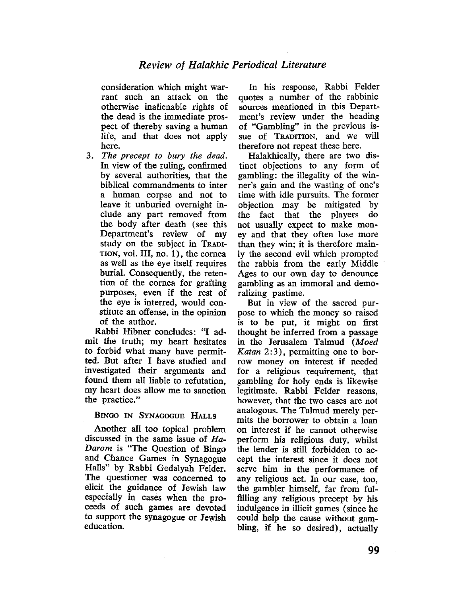consideration which might warrant such an attack on the otherwise inalienable rights of the dead is the immediate prospect of thereby saving a human life, and that does not apply here.

3. The precept to bury the dead. In view of the ruling, confirmed by several authorities, that the biblical commandments to inter a human corpse and not to leave it unburied overnight include any part removed from the body after death (see this Department's review of my study on the subject in TRADI-TION, voL. III, no. 1), the cornea as well as the eye itself requires burial. Consequently, the retention of the cornea for grafting purposes, even if the rest of the eye is interred, would constitute an offense, in the opinion of the author.

Rabbi Hibner concludes: "I ad. mit the truth; my heart hesitates to forbid what many have permitted. But after I have studied and investigated their arguments and found them all liable to refutation, my heart does allow me to sanction the practice."

#### BINGO IN SYNAGOGUE HALLS

Another all too topical problem discussed in the same issue of  $Ha-$ Darom is "The Question of Bingo and Chance Games in Synagogue Halls" by Rabbi Gedalyah Felder. The questioner was concerned to elicit the guidance of Jewish law especially in cases when the proceeds of such games are devoted to support the synagogue or Jewish education.

In his response, Rabbi Felder quotes a number of the rabbinic sources mentioned in this Department's review under the heading of "Gambling" in the previous issue of TRADITION, and we will therefore not repeat these here.

Halakhically, there are two distinct objections to any form of gambling: the ilegality of the winner's gain and the wasting of one's time with idle pursuits. The former objection may be mitigated by the fact that the players do not usually expect to make money and that they often lose more than they win; it is therefore mainly the second evil which prompted the rabbis from the early Middle Ages to our own day to denounce gambling as an immoral and demoralizing pastime.

But in view of the sacred purpose to which the money so raised is to be put, it might on first thought be inferred from a passage in the Jerusalem Talmud (Moed *Katan*  $2:3$ ), permitting one to borrow money on interest if needed for a religious requirement, that gambling for holy ends is likewise legitimate. Rabbi Felder reasons, however, that the two cases are not analogous. The Talmud merely permits the borrower to obtain a loan on interest if he cannot otherwise perform his religious duty, whilst the lender is still forbidden to accept the interest since it does not serve him in the performance of any religious act. In our case, too, the gambler himself, far from fulfilling any religious precept by his indulgence in illicit games (since he could help the cause without gambling, if he so desired), actually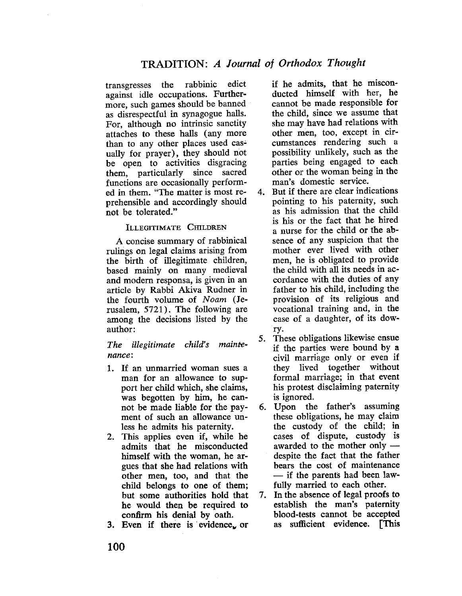transgresses the rabbinic edict against idle occupations. Furthermore, such games should be banned as disrespectful in synagogue halls. For, although no intrinsic sanctity attaches to these hals (any more than to any other places used casually for prayer), they should not be open to activities disgracing them, particularly since sacred functions are occasionally performed in them. "The matter is most reprehensible and accordingly should not be tolerated."

## ILLEGITIMATE CHILDREN

A concise summary of rabbinical rulings on legal claims arising from the birth of ilegitimate children, based mainly on many medieval and modem responsa, is given in an article by Rabbi Akiva Rudner in the fourth volume of Noam (Jerusalem, 5721). The following are among the decisions listed by the author:

The illegitimate child's maintenance:

- 1. If an unmarried woman sues a man for an allowance to support her child which, she claims, was begotten by him, he cannot be made liable for the payment of such an allowance unless he admits his paternity.
- 2. This applies even if, while he admits that he misconducted himself with the woman, he argues that she had relations with other men, too, and that the child belongs to one of them; but some authorities hold that he would then be required to confirm his denial by oath.

3. Even if there is evidence. or

if he admits, that he misconducted himself with her, he cannot be made responsible for the child, since we assume that she may have had relations with other men, too, except in circumstances rendering such a possibilty unlikely, such as the parties being engaged to each other or the woman being in the man's domestic service.

- 4. But if there are clear indications pointing to his paternity, such as his admission that the child is his or the fact that he hired a nurse for the child or the absence of any suspicion that the mother ever lived with other men, he is obligated to provide the child with all its needs in accordance with the duties of any father to his child, including the provision of its religious and vocational training and, in the case of a daughter, of its dowry.
- 5. These obligations likewise ensue if the parties were bound by a civil marriage only or even if they lived together without formal marriage; in that event his protest disclaiming paternity is ignored.
- 6. Upon the father's assuming these obligations, he may claim the custody of the child; in cases of dispute, custody is awarded to the mother only  $$ despite the fact that the father bears the cost of maintenance - if the parents had been lawfully married to each other.
- 7. In the absence of legal proofs to establish the man's paternity blood-tests cannot be accepted as sufficient evidence. [This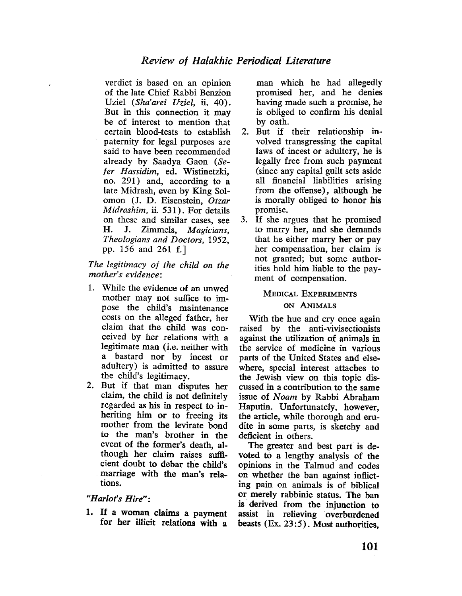verdict is based on an opinion of the late Chief Rabbi Benzion Uziel (Sha'arei Uziel, ii. 40). But in this connection it may be of interest to mention that certain blood-tests to establish paternity for legal purposes are said to have been recommended already by Saadya Gaon (Sefer Hassidim, ed. Wistinetzki, no. 291) and, according to a late Midrash, even by King Solomon (1. D. Eisenstein, Otzar Midrashim, ii. 531). For details on these and similar cases, see H. J. Zimmels, Magicians, Theologians and Doctors, 1952, pp. 156 and 261 f.)

The legitimacy of the child on the mother's evidence:

- 1. While the evidence of an unwed mother may not suffice to impose the child's maintenance costs on the alleged father, her claim that the chid was conceived by her relations with a legitimate man (i.e. neither with a bastard nor by incest or adultery) is admitted to assure the child's legitimacy.
- 2. But if that man disputes her claim, the child is not definitely regarded as his in respect to inheriting him or to freeing its mother from the levirate bond to the man's brother in the event of the former's death, although her claim raises suffcient doubt to debar the child's marriage with the man's relations.

## "Harlot's Hire":

1. If a woman claims a payment for her ilicit relations with a

man which he had allegedly promised her, and he denies having made such a promise, he is obliged to confirm his denial by oath.

- 2. But if their relationship involved transgressing the capital laws of incest or adultery, he is legally free from such payment (since any capital guilt sets aside all financial liabilties arising from the offense). although he is morally obliged to honor his promise.
- 3. If she argues that he promised to marry her, and she demands that he either marry her or pay her compensation, her claim is not granted; but some authorities hold him liable to the payment of compensation.

# MEDICAL EXPERIMENTS

#### ON ANIMALS

With the hue and cry once again raised by the anti-vivisectionists agaist the utilzation of animals in the service of medicine in various parts of the United States and elsewhere, special interest attaches to the Jewish view on this topic discussed in a contribution to the same issue of Noam by Rabbi Abraham Haputin. Unfortunately, however, the article, while thorough and erudite in some parts, is sketchy and deficient in others.

The greater and best part is devoted tó a lengthy analysis of the opinions in the Talmud and codes on whether the ban against inflicting pain on animals is of biblical or merely rabbinic status. The ban is. derived from the injunction to assist in relieving overburdened beasts  $(Ex. 23:5)$ . Most authorities.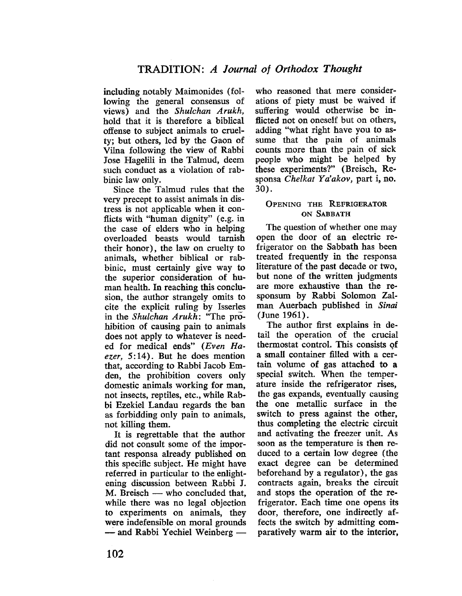including notably Maimonides (following the general consensus of views) and the Shulchan Arukh, hold that it is therefore a biblical offense to subject animals to cruelty; but others, led by the Gaon of Vila following the view of Rabbi Jose Hagelii in the Talmud, deem such conduct as a violation of rabbinic law only.

Since the Talmud rules that the very precept to assist animals in distress is not applicable when it conflicts with "human dignity" (e.g. in the case of elders who in helping overloaded beasts would tarnish their honor), the law on cruelty to animals, whether biblical or rabbinic, must certainly give way to the superior consideration of human health. In reaching this conclusion, the author strangely omits to cite the explicit ruling by Isserles in the Shulchan Arukh: "The prõhibition of causing pain to animals does not apply to whatever is needed for medical ends" (Even Haezer,  $5:14$ ). But he does mention that, according to Rabbi Jacob Emden, the prohibition covers only domestic animals working for man, not insects, reptiles, etc., while Rabbi Ezekiel Landau regards the ban as forbidding only pain to animals, not kiling them.

It is regrettable that the author did not consult some of the important responsa already published on this specific subject. He might have referred in particular to the enlightening discussion between Rabbi J.  $M.$  Breisch  $-$  who concluded that, while there was no legal objection to experiments on animals, they were indefensible on moral grounds - and Rabbi Yechiel Weinberg-

who reasoned that mere considerations of piety must be waived if suffering would otherwise be inflicted not on oneself but on others, adding "what right have you to assume that the pain of animals counts more than the pain of sick people who might be helped by these experiments?" (Breisch, Responsa Chelkat Ya'akov, part i, no. 30).

## OPENING THE REFRIGERATOR ON SABBATH

The question of whether one may open the door of an electric refrigerator on the Sabbath has been treated frequently in the responsa literature of the past decade or two, but none of the written judgments are more exhaustive than the responsum by Rabbi Solomon Zalman Auerbach published in Sinai (June 1961).

The author first explains in detail the operation of the crucial thermostat control. This consists of a small container filed with a certain volume of gas attached to a special switch. When the temperature inside the refrigerator rises, the gas expands, eventually causing the one metallic surface in the switch to press against the other, thus completing the electric circuit and activating the freezer unit. As soon as the temperature is then reduced to a certain low degree (the exact degree can be determined beforehand by a regulator), the gas contracts again, breaks the circuit and stops the operation of the refrigerator. Each time one opens its door, therefore, one indirectly affects the switch by admitting comparatively warm air to the interior,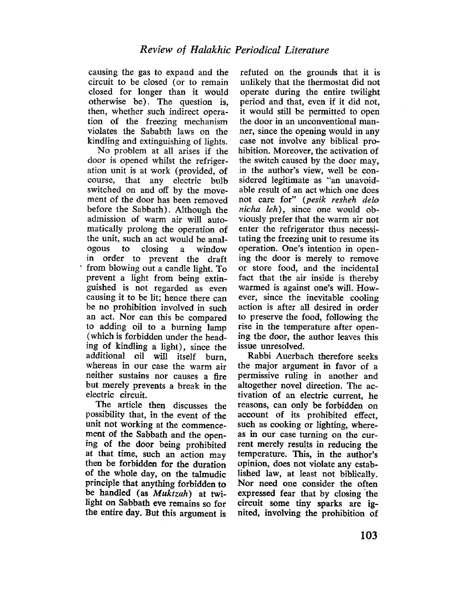causing the gas to expand and the circuit to be closed (or to remain closed for longer than it would otherwise be). The question is, then, whether such indirect operation of the freezing mechanism violates the Sababth laws on the kindling and extinguishing of lights.

No problem at all arises if the door is opened whilst the refrigeration unit is at work (provided, of course, that any electric bulb switched on and off by the movement of the door has been removed before the Sabbath). Although the admission of warm air will automatically prolong the operation of the unit, such an act would be analogous to closing a window in order to prevent the draft from blowing out a candle light. To prevent a light from being extinguished is not regarded as even causing it to be lit; hence there can be no prohibition involved in such an act. Nor can this be compared to adding oil to a burning lamp (which is forbidden under the heading of kindling a light), since the additional oil will itself burn, whereas in our case the warm air neither sustains nor causes a fire but merely prevents a break in the electric circuit.

The article then discusses the possibilty that, in the event of the unit not working at the commencement of the Sabbath and the opening of the door being prohibited at that time, such an action may then be forbidden for the duration of the whole day, on the tàlmudic principle that anything forbidden to be handled (as Muktzah) at twilight on Sabbath eve remains so for the entire day. But this argument is

refuted on the grounds that it is unlikely that the thermostat did not operate during the entire twilght period and that, even if it did not, it would still be permitted to open the door in an unconventional manner, since the opening would in any case not involve any biblical prohibition. Moreover, the activation of the switch caused by the door may, in the author's view, well be considered legitimate as "an unavoidable result of an act which one does not care for" (pesik resheh delo nicha leh), since one would obviously prefer that the warm àir not enter the refrigerator thus necessitating the freezing unit to resume its operation. One's intention in opening the door is merely to remove or store food, and the incidental fact that the air inside is thereby warmed is against one's wilL. However, since the inevitable cooling action is after all desired in order to preserve the food, following the rise in the temperature after opening the door, the author leaves this issue unresolved.

Rabbi Auerbach therefore seeks the major argument in favor of a permissive ruling in another and altogether novel direction. The activation of an electric current, he reasons, can only be forbidden on account of its prohibited effect, such as cooking or lighting, whereas in our case turning on the current merely results in reducing the temperature. This, in the author's opinion, does not violate any established law, at least not biblically. Nor need one consider the often expressed fear that by closing the circuit some tiny sparks are ignited, involving the prohibition of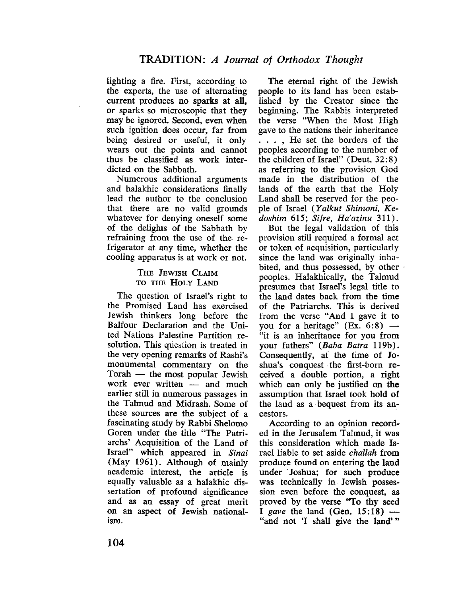lighting a fire. First, according to the experts, the use of alternating current produces no sparks at all, or sparks so microscopic that they may be ignored. Second, even when such ignition does occur, far from being desired or useful, it only wears out the points and cannot thus be classifed as work inter~ dicted on the Sabbath.

Numerous additional arguments and halakhic considerations finally lead the author to the conclusion that there are no valid grounds whatever for denying oneself some of the delights of the Sabbath by refraining from the use of the refrigerator at any time, whether the cooling apparatus is at work or not.

## THE JEWISH CLAIM TO THE HOLY LAND

The question of Israel's right to the Promised Land has exercised Jewish thinkers long before the Balfour Declaration and the United Nations Palestine Partition resolution. This qùestion is treated in the very opening remarks of Rashi's monumental commentary on the Torah  $-$  the most popular Jewish work ever written  $-$  and much earlier still in numerous passages in the Talmud and Midrash. Some of these sources are the subject of a fascinating study by Rabbi Shelomo Goren under the title "The Patriarchs' Acquisition of the Land of Israel" which appeared in Sinai (May 1961). Although of mainly academic interest, the article is equally valuable as a halakhic dissertation of profound significance and as an essay of great merit on an aspect of Jewish nationalism.

The eternal right of the Jewish people to its land has been established by the Creator since the beginning. The Rabbis interpreted the verse "When the Most High gave to the nations their inheritance . . . , He set the borders of the peoples according to the number of the children of Israel" (Deut. 32: 8) as referring to the provision God made in the distribution of the lands of the earth that the Holy Land shall be reserved for the people of Israel (Yalkut Shimoni, Kedoshim 615; Sifre, Ha'azinu 311).

But the legal validation of this provision still required a formal act or token of acquisition, particularly since the land was originally inhabited, and thus possessed, by other . peoples. Halakhically, the Talmud presumes that Israel's legal title to the land dates back from the time of the Patriarchs. This is derived from the verse "And I gave it to you for a heritage" (Ex. 6:8)  $-$ "it is an inheritance for you from your fathers" (Baba Batra 119b). Consequently, at the time of Joshua's conquest the first-born received a double portion, a right which can only be justifed on the assumption that Israel took hold of the land as a bequest from its an~ cestors.

According to an opinion recorded in the Jerusalem Talmud, it was this consideration which made Israel liable to set aside challah from produce found on entering the land under. Joshua; for such produce was technically in Jewish possession even before the conquest, as proved by the verse "To thy seed I gave the land (Gen.  $15:18$ ) -"and not 'I shall give the land'''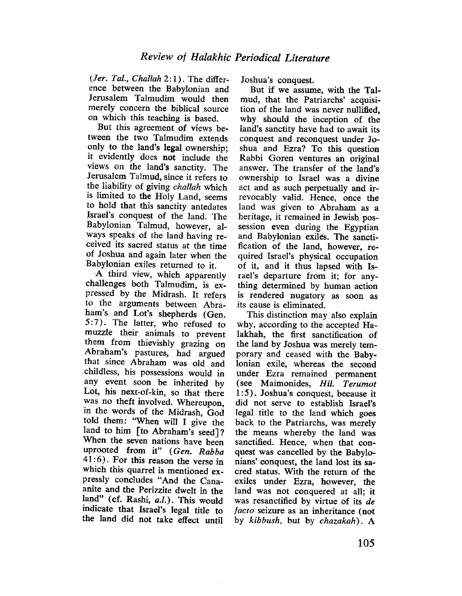(Jer. Tal., Challah 2:1). The difference between the Babylonian and Jerusalem Talmudim would then merely concern the biblical source on which this teachig is based.

But this agreement of views between the two Talmudim extends only to the land's legal ownership; it evidently does not include the views on the land's sanctity. The Jerusalem Talmud, since it refers to the liability of giving challah which is limited to the Holy Land, seems to hold that this sanctity antedates Israel's conquest of the land. The Babylonian Talmud, however, always speaks of the land having received its sacred status at the time of Joshua and again later when the Babylonian exiles returned to it.

A third view, which apparently challenges both Talmudim, is expressed by the Midrash. It refers to the arguments between Abra~ ham's and Lot's shepherds (Gen. S: 7). The latter, who refused to muzzle their animals to prevent them from thievishly grazing on Abraham's pastures, had argued that since Abraham was old and childless, his possessions would in any event soon be inherited by Lot, his next~of-kin, so that there was no theft involved. Whereupon, in the words of the Midrash, God told them: "When will I give the land to him [to Abraham's seed]? When the seven nations have been uprooted from it" (Gen. Rabba  $41:6$ ). For this reason the verse in which this quarrel is mentioned expressly concludes "And the Canaanite and the Perizzite dwelt in the land" (cf. Rashi, a.l.). This would indicate that Israel's legal title to the land did not take effect unti

Joshua's conquest.

But if we assume, with the Talmud, that the Patriarchs' acquisi. tion of the land was never nullifed, why should the inception of the land's sanctity have had to await its conquest and reconquest under Joshua and Ezra? To this question Rabbi Goren ventures an original answer. The transfer of the land's ownership to Israel was a divine act and as such perpetually and irrevocably valid. Hence, once the land was given to Abraham as a heritage, it remained in Jewish possession even during the Egyptian and Babylonian exiles. The sanctification of the land, however, required Israel's physical occupation of it, and it thus lapsed with Israel's departure from it; for anything determined by human action is rendered nugatory as soon as its cause is eliminated.

This distinction may also explain why, according to the accepted Halakhah, the first sanctification of the land by Joshua was merely temporary and ceased with the Baby. lonian exile, whereas the second under Ezra remained permanent (see Maimonides, Hil. Terumot 1 :5). Joshua's conquest, because it did not serve to establish Israel's legal title to the land which goes back to the Patriarchs, was merely the means whereby the land was sanctified. Hence, when that conquest was cancelled by the Babylonians' conquest, the land lost its sacred status. With the return of the exiles under Ezra, however, the land was not conquered at all; it was resanctified by virtue of its de facto seizure as an inheritance (not by kibbush, but by chazakah). A